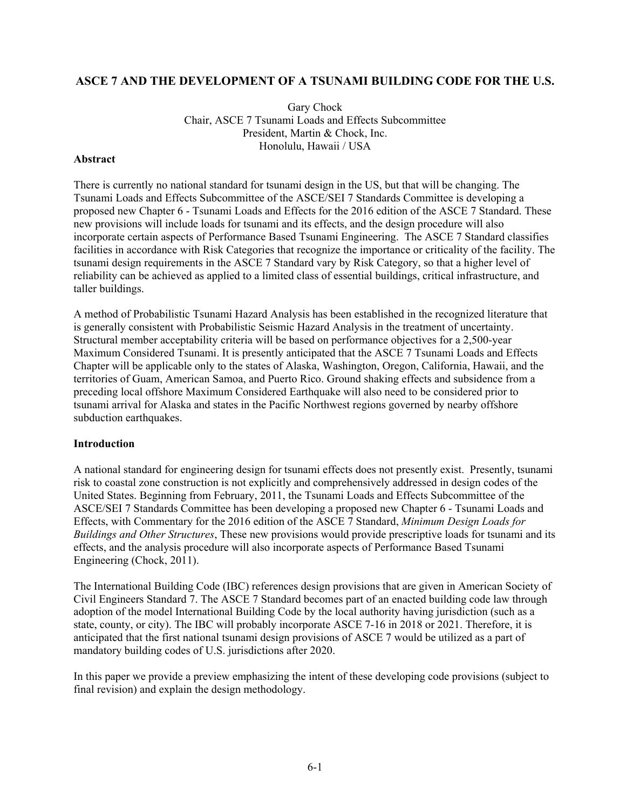# **ASCE 7 AND THE DEVELOPMENT OF A TSUNAMI BUILDING CODE FOR THE U.S.**

Gary Chock Chair, ASCE 7 Tsunami Loads and Effects Subcommittee President, Martin & Chock, Inc. Honolulu, Hawaii / USA

#### **Abstract**

There is currently no national standard for tsunami design in the US, but that will be changing. The Tsunami Loads and Effects Subcommittee of the ASCE/SEI 7 Standards Committee is developing a proposed new Chapter 6 - Tsunami Loads and Effects for the 2016 edition of the ASCE 7 Standard. These new provisions will include loads for tsunami and its effects, and the design procedure will also incorporate certain aspects of Performance Based Tsunami Engineering. The ASCE 7 Standard classifies facilities in accordance with Risk Categories that recognize the importance or criticality of the facility. The tsunami design requirements in the ASCE 7 Standard vary by Risk Category, so that a higher level of reliability can be achieved as applied to a limited class of essential buildings, critical infrastructure, and taller buildings.

A method of Probabilistic Tsunami Hazard Analysis has been established in the recognized literature that is generally consistent with Probabilistic Seismic Hazard Analysis in the treatment of uncertainty. Structural member acceptability criteria will be based on performance objectives for a 2,500-year Maximum Considered Tsunami. It is presently anticipated that the ASCE 7 Tsunami Loads and Effects Chapter will be applicable only to the states of Alaska, Washington, Oregon, California, Hawaii, and the territories of Guam, American Samoa, and Puerto Rico. Ground shaking effects and subsidence from a preceding local offshore Maximum Considered Earthquake will also need to be considered prior to tsunami arrival for Alaska and states in the Pacific Northwest regions governed by nearby offshore subduction earthquakes.

### **Introduction**

A national standard for engineering design for tsunami effects does not presently exist. Presently, tsunami risk to coastal zone construction is not explicitly and comprehensively addressed in design codes of the United States. Beginning from February, 2011, the Tsunami Loads and Effects Subcommittee of the ASCE/SEI 7 Standards Committee has been developing a proposed new Chapter 6 - Tsunami Loads and Effects, with Commentary for the 2016 edition of the ASCE 7 Standard, *Minimum Design Loads for Buildings and Other Structures*, These new provisions would provide prescriptive loads for tsunami and its effects, and the analysis procedure will also incorporate aspects of Performance Based Tsunami Engineering (Chock, 2011).

The International Building Code (IBC) references design provisions that are given in American Society of Civil Engineers Standard 7. The ASCE 7 Standard becomes part of an enacted building code law through adoption of the model International Building Code by the local authority having jurisdiction (such as a state, county, or city). The IBC will probably incorporate ASCE 7-16 in 2018 or 2021. Therefore, it is anticipated that the first national tsunami design provisions of ASCE 7 would be utilized as a part of mandatory building codes of U.S. jurisdictions after 2020.

In this paper we provide a preview emphasizing the intent of these developing code provisions (subject to final revision) and explain the design methodology.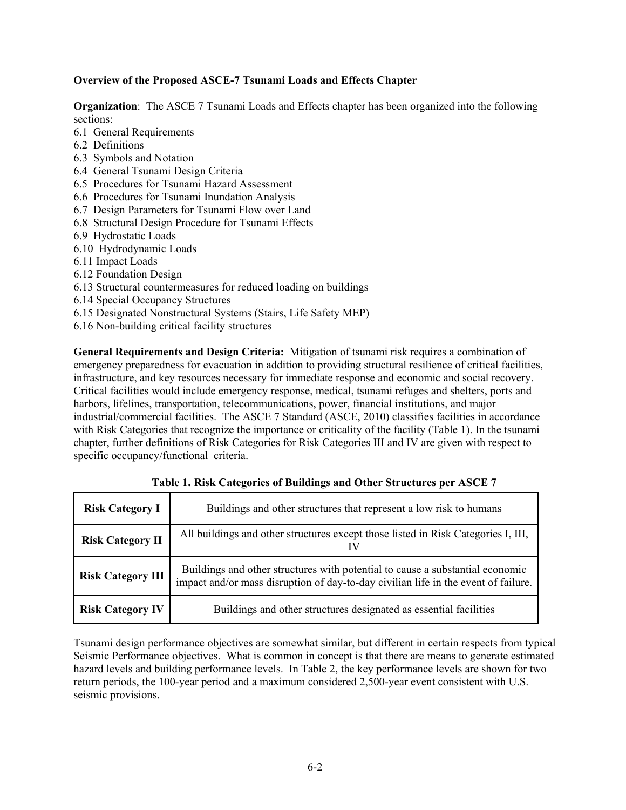## **Overview of the Proposed ASCE-7 Tsunami Loads and Effects Chapter**

**Organization**: The ASCE 7 Tsunami Loads and Effects chapter has been organized into the following sections:

- 6.1 General Requirements
- 6.2 Definitions
- 6.3 Symbols and Notation
- 6.4 General Tsunami Design Criteria
- 6.5 Procedures for Tsunami Hazard Assessment
- 6.6 Procedures for Tsunami Inundation Analysis
- 6.7 Design Parameters for Tsunami Flow over Land
- 6.8 Structural Design Procedure for Tsunami Effects
- 6.9 Hydrostatic Loads
- 6.10 Hydrodynamic Loads
- 6.11 Impact Loads
- 6.12 Foundation Design
- 6.13 Structural countermeasures for reduced loading on buildings
- 6.14 Special Occupancy Structures
- 6.15 Designated Nonstructural Systems (Stairs, Life Safety MEP)
- 6.16 Non-building critical facility structures

**General Requirements and Design Criteria:** Mitigation of tsunami risk requires a combination of emergency preparedness for evacuation in addition to providing structural resilience of critical facilities, infrastructure, and key resources necessary for immediate response and economic and social recovery. Critical facilities would include emergency response, medical, tsunami refuges and shelters, ports and harbors, lifelines, transportation, telecommunications, power, financial institutions, and major industrial/commercial facilities. The ASCE 7 Standard (ASCE, 2010) classifies facilities in accordance with Risk Categories that recognize the importance or criticality of the facility (Table 1). In the tsunami chapter, further definitions of Risk Categories for Risk Categories III and IV are given with respect to specific occupancy/functional criteria.

| <b>Risk Category I</b>   | Buildings and other structures that represent a low risk to humans                                                                                                  |  |  |  |  |  |
|--------------------------|---------------------------------------------------------------------------------------------------------------------------------------------------------------------|--|--|--|--|--|
| <b>Risk Category II</b>  | All buildings and other structures except those listed in Risk Categories I, III,                                                                                   |  |  |  |  |  |
| <b>Risk Category III</b> | Buildings and other structures with potential to cause a substantial economic<br>impact and/or mass disruption of day-to-day civilian life in the event of failure. |  |  |  |  |  |
| <b>Risk Category IV</b>  | Buildings and other structures designated as essential facilities                                                                                                   |  |  |  |  |  |

**Table 1. Risk Categories of Buildings and Other Structures per ASCE 7**

Tsunami design performance objectives are somewhat similar, but different in certain respects from typical Seismic Performance objectives. What is common in concept is that there are means to generate estimated hazard levels and building performance levels. In Table 2, the key performance levels are shown for two return periods, the 100-year period and a maximum considered 2,500-year event consistent with U.S. seismic provisions.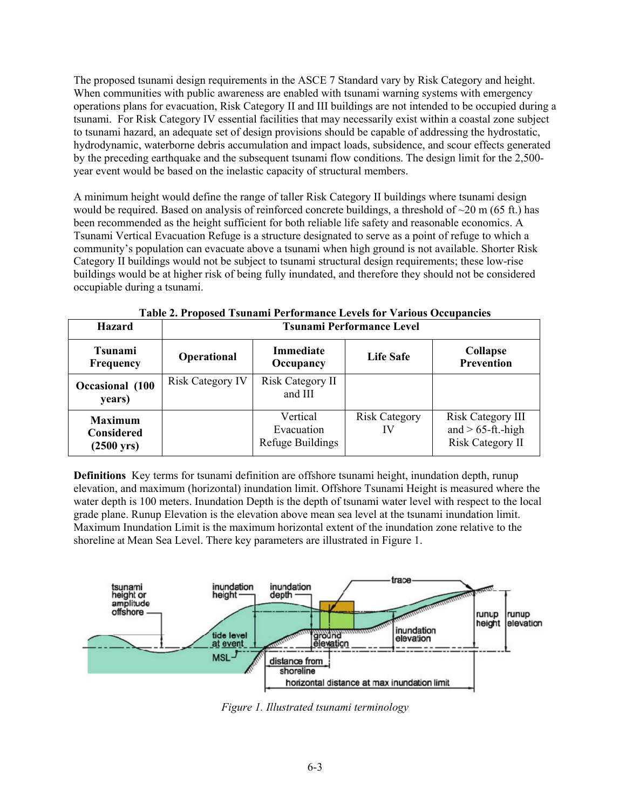The proposed tsunami design requirements in the ASCE 7 Standard vary by Risk Category and height. When communities with public awareness are enabled with tsunami warning systems with emergency operations plans for evacuation, Risk Category II and III buildings are not intended to be occupied during a tsunami. For Risk Category IV essential facilities that may necessarily exist within a coastal zone subject to tsunami hazard, an adequate set of design provisions should be capable of addressing the hydrostatic, hydrodynamic, waterborne debris accumulation and impact loads, subsidence, and scour effects generated by the preceding earthquake and the subsequent tsunami flow conditions. The design limit for the 2,500 year event would be based on the inelastic capacity of structural members.

A minimum height would define the range of taller Risk Category II buildings where tsunami design would be required. Based on analysis of reinforced concrete buildings, a threshold of  $\sim$ 20 m (65 ft.) has been recommended as the height sufficient for both reliable life safety and reasonable economics. A Tsunami Vertical Evacuation Refuge is a structure designated to serve as a point of refuge to which a community's population can evacuate above a tsunami when high ground is not available. Shorter Risk Category II buildings would not be subject to tsunami structural design requirements; these low-rise buildings would be at higher risk of being fully inundated, and therefore they should not be considered occupiable during a tsunami.

| <b>Hazard</b>                                                | <b>Tsunami Performance Level</b> |                                            |                            |                                                                             |  |  |  |
|--------------------------------------------------------------|----------------------------------|--------------------------------------------|----------------------------|-----------------------------------------------------------------------------|--|--|--|
| <b>Tsunami</b><br><b>Frequency</b>                           | Operational                      | <b>Immediate</b><br>Occupancy              | Life Safe                  | <b>Collapse</b><br><b>Prevention</b>                                        |  |  |  |
| Occasional (100<br>years)                                    | <b>Risk Category IV</b>          | Risk Category II<br>and III                |                            |                                                                             |  |  |  |
| <b>Maximum</b><br><b>Considered</b><br>$(2500 \,\text{yrs})$ |                                  | Vertical<br>Evacuation<br>Refuge Buildings | <b>Risk Category</b><br>IV | <b>Risk Category III</b><br>and $> 65$ -ft.-high<br><b>Risk Category II</b> |  |  |  |

**Table 2. Proposed Tsunami Performance Levels for Various Occupancies** 

**Definitions** Key terms for tsunami definition are offshore tsunami height, inundation depth, runup elevation, and maximum (horizontal) inundation limit. Offshore Tsunami Height is measured where the water depth is 100 meters. Inundation Depth is the depth of tsunami water level with respect to the local grade plane. Runup Elevation is the elevation above mean sea level at the tsunami inundation limit. Maximum Inundation Limit is the maximum horizontal extent of the inundation zone relative to the shoreline at Mean Sea Level. There key parameters are illustrated in Figure 1.



*Figure 1. Illustrated tsunami terminology*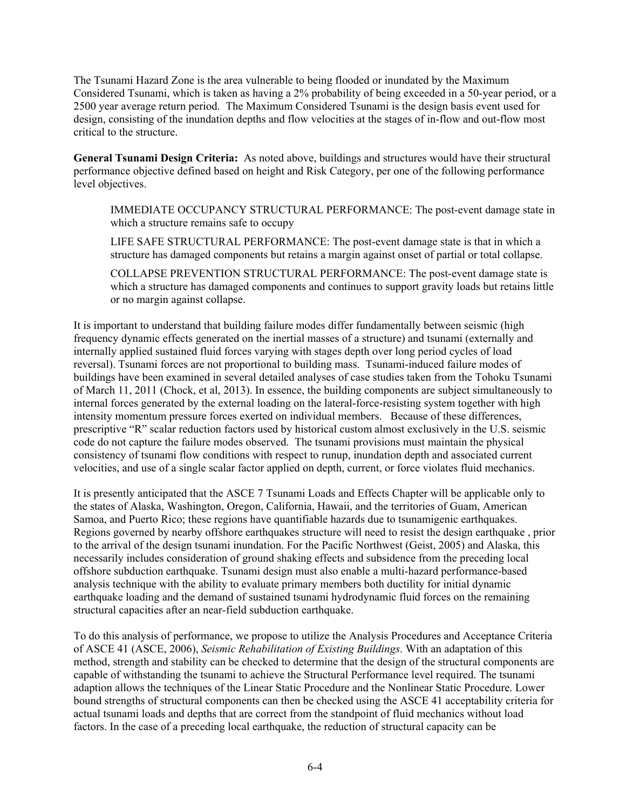The Tsunami Hazard Zone is the area vulnerable to being flooded or inundated by the Maximum Considered Tsunami, which is taken as having a 2% probability of being exceeded in a 50-year period, or a 2500 year average return period. The Maximum Considered Tsunami is the design basis event used for design, consisting of the inundation depths and flow velocities at the stages of in-flow and out-flow most critical to the structure.

**General Tsunami Design Criteria:** As noted above, buildings and structures would have their structural performance objective defined based on height and Risk Category, per one of the following performance level objectives.

IMMEDIATE OCCUPANCY STRUCTURAL PERFORMANCE: The post-event damage state in which a structure remains safe to occupy

LIFE SAFE STRUCTURAL PERFORMANCE: The post-event damage state is that in which a structure has damaged components but retains a margin against onset of partial or total collapse.

COLLAPSE PREVENTION STRUCTURAL PERFORMANCE: The post-event damage state is which a structure has damaged components and continues to support gravity loads but retains little or no margin against collapse.

It is important to understand that building failure modes differ fundamentally between seismic (high frequency dynamic effects generated on the inertial masses of a structure) and tsunami (externally and internally applied sustained fluid forces varying with stages depth over long period cycles of load reversal). Tsunami forces are not proportional to building mass. Tsunami-induced failure modes of buildings have been examined in several detailed analyses of case studies taken from the Tohoku Tsunami of March 11, 2011 (Chock, et al, 2013). In essence, the building components are subject simultaneously to internal forces generated by the external loading on the lateral-force-resisting system together with high intensity momentum pressure forces exerted on individual members. Because of these differences, prescriptive "R" scalar reduction factors used by historical custom almost exclusively in the U.S. seismic code do not capture the failure modes observed. The tsunami provisions must maintain the physical consistency of tsunami flow conditions with respect to runup, inundation depth and associated current velocities, and use of a single scalar factor applied on depth, current, or force violates fluid mechanics.

It is presently anticipated that the ASCE 7 Tsunami Loads and Effects Chapter will be applicable only to the states of Alaska, Washington, Oregon, California, Hawaii, and the territories of Guam, American Samoa, and Puerto Rico; these regions have quantifiable hazards due to tsunamigenic earthquakes. Regions governed by nearby offshore earthquakes structure will need to resist the design earthquake , prior to the arrival of the design tsunami inundation. For the Pacific Northwest (Geist, 2005) and Alaska, this necessarily includes consideration of ground shaking effects and subsidence from the preceding local offshore subduction earthquake. Tsunami design must also enable a multi-hazard performance-based analysis technique with the ability to evaluate primary members both ductility for initial dynamic earthquake loading and the demand of sustained tsunami hydrodynamic fluid forces on the remaining structural capacities after an near-field subduction earthquake.

To do this analysis of performance, we propose to utilize the Analysis Procedures and Acceptance Criteria of ASCE 41 (ASCE, 2006), *Seismic Rehabilitation of Existing Buildings*. With an adaptation of this method, strength and stability can be checked to determine that the design of the structural components are capable of withstanding the tsunami to achieve the Structural Performance level required. The tsunami adaption allows the techniques of the Linear Static Procedure and the Nonlinear Static Procedure. Lower bound strengths of structural components can then be checked using the ASCE 41 acceptability criteria for actual tsunami loads and depths that are correct from the standpoint of fluid mechanics without load factors. In the case of a preceding local earthquake, the reduction of structural capacity can be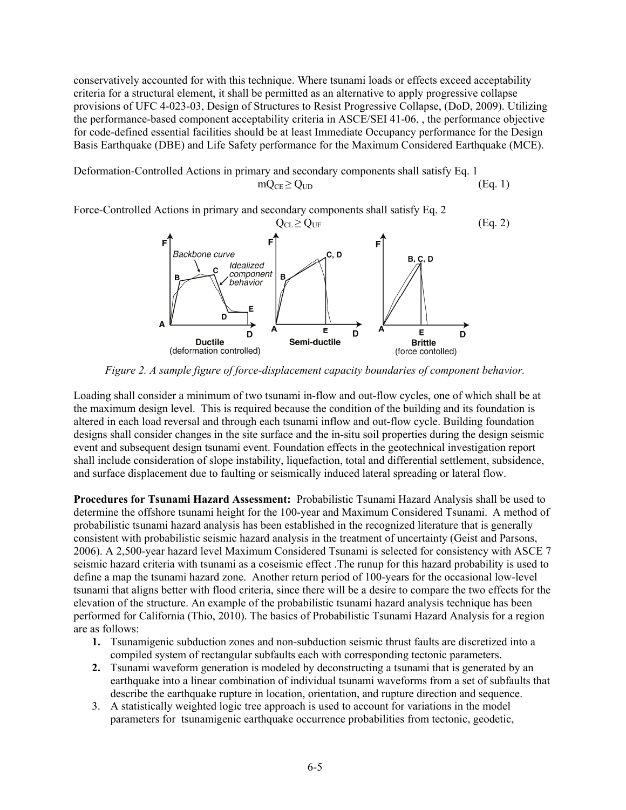conservatively accounted for with this technique. Where tsunami loads or effects exceed acceptability criteria for a structural element, it shall be permitted as an alternative to apply progressive collapse provisions of UFC 4-023-03, Design of Structures to Resist Progressive Collapse, (DoD, 2009). Utilizing the performance-based component acceptability criteria in ASCE/SEI 41-06, , the performance objective for code-defined essential facilities should be at least Immediate Occupancy performance for the Design Basis Earthquake (DBE) and Life Safety performance for the Maximum Considered Earthquake (MCE).

Deformation-Controlled Actions in primary and secondary components shall satisfy Eq. 1  $mQ_{CF} \geq Q_{UD}$  (Eq. 1)

Force-Controlled Actions in primary and secondary components shall satisfy Eq. 2



*Figure 2. A sample figure of force-displacement capacity boundaries of component behavior.* 

Loading shall consider a minimum of two tsunami in-flow and out-flow cycles, one of which shall be at the maximum design level. This is required because the condition of the building and its foundation is altered in each load reversal and through each tsunami inflow and out-flow cycle. Building foundation designs shall consider changes in the site surface and the in-situ soil properties during the design seismic event and subsequent design tsunami event. Foundation effects in the geotechnical investigation report shall include consideration of slope instability, liquefaction, total and differential settlement, subsidence, and surface displacement due to faulting or seismically induced lateral spreading or lateral flow.

**Procedures for Tsunami Hazard Assessment:** Probabilistic Tsunami Hazard Analysis shall be used to determine the offshore tsunami height for the 100-year and Maximum Considered Tsunami. A method of probabilistic tsunami hazard analysis has been established in the recognized literature that is generally consistent with probabilistic seismic hazard analysis in the treatment of uncertainty (Geist and Parsons, 2006). A 2,500-year hazard level Maximum Considered Tsunami is selected for consistency with ASCE 7 seismic hazard criteria with tsunami as a coseismic effect .The runup for this hazard probability is used to define a map the tsunami hazard zone. Another return period of 100-years for the occasional low-level tsunami that aligns better with flood criteria, since there will be a desire to compare the two effects for the elevation of the structure. An example of the probabilistic tsunami hazard analysis technique has been performed for California (Thio, 2010). The basics of Probabilistic Tsunami Hazard Analysis for a region are as follows:

- **1.** Tsunamigenic subduction zones and non-subduction seismic thrust faults are discretized into a compiled system of rectangular subfaults each with corresponding tectonic parameters.
- **2.** Tsunami waveform generation is modeled by deconstructing a tsunami that is generated by an earthquake into a linear combination of individual tsunami waveforms from a set of subfaults that describe the earthquake rupture in location, orientation, and rupture direction and sequence.
- 3. A statistically weighted logic tree approach is used to account for variations in the model parameters for tsunamigenic earthquake occurrence probabilities from tectonic, geodetic,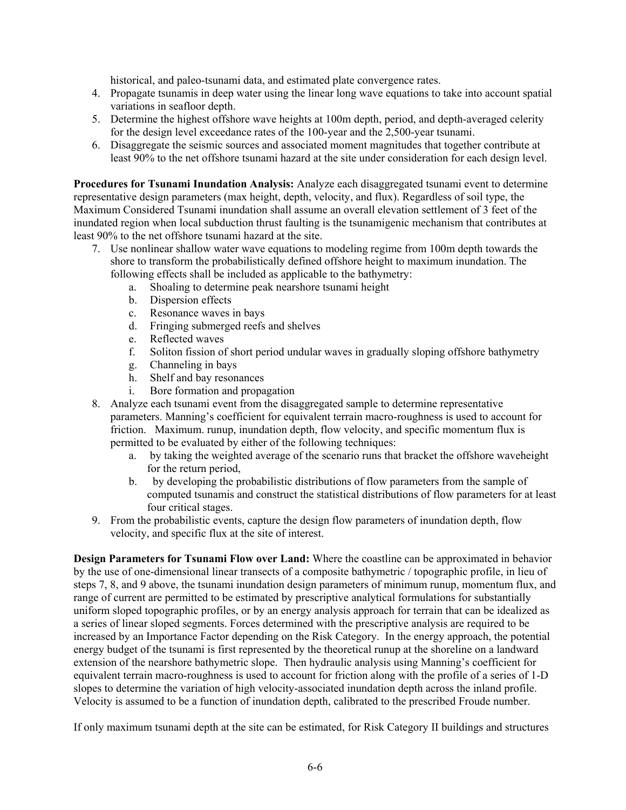historical, and paleo-tsunami data, and estimated plate convergence rates.

- 4. Propagate tsunamis in deep water using the linear long wave equations to take into account spatial variations in seafloor depth.
- 5. Determine the highest offshore wave heights at 100m depth, period, and depth-averaged celerity for the design level exceedance rates of the 100-year and the 2,500-year tsunami.
- 6. Disaggregate the seismic sources and associated moment magnitudes that together contribute at least 90% to the net offshore tsunami hazard at the site under consideration for each design level.

**Procedures for Tsunami Inundation Analysis:** Analyze each disaggregated tsunami event to determine representative design parameters (max height, depth, velocity, and flux). Regardless of soil type, the Maximum Considered Tsunami inundation shall assume an overall elevation settlement of 3 feet of the inundated region when local subduction thrust faulting is the tsunamigenic mechanism that contributes at least 90% to the net offshore tsunami hazard at the site.

- 7. Use nonlinear shallow water wave equations to modeling regime from 100m depth towards the shore to transform the probabilistically defined offshore height to maximum inundation. The following effects shall be included as applicable to the bathymetry:
	- a. Shoaling to determine peak nearshore tsunami height
	- b. Dispersion effects
	- c. Resonance waves in bays
	- d. Fringing submerged reefs and shelves
	- e. Reflected waves
	- f. Soliton fission of short period undular waves in gradually sloping offshore bathymetry
	- g. Channeling in bays
	- h. Shelf and bay resonances
	- i. Bore formation and propagation
- 8. Analyze each tsunami event from the disaggregated sample to determine representative parameters. Manning's coefficient for equivalent terrain macro-roughness is used to account for friction. Maximum. runup, inundation depth, flow velocity, and specific momentum flux is permitted to be evaluated by either of the following techniques:
	- a. by taking the weighted average of the scenario runs that bracket the offshore waveheight for the return period,
	- b. by developing the probabilistic distributions of flow parameters from the sample of computed tsunamis and construct the statistical distributions of flow parameters for at least four critical stages.
- 9. From the probabilistic events, capture the design flow parameters of inundation depth, flow velocity, and specific flux at the site of interest.

**Design Parameters for Tsunami Flow over Land:** Where the coastline can be approximated in behavior by the use of one-dimensional linear transects of a composite bathymetric / topographic profile, in lieu of steps 7, 8, and 9 above, the tsunami inundation design parameters of minimum runup, momentum flux, and range of current are permitted to be estimated by prescriptive analytical formulations for substantially uniform sloped topographic profiles, or by an energy analysis approach for terrain that can be idealized as a series of linear sloped segments. Forces determined with the prescriptive analysis are required to be increased by an Importance Factor depending on the Risk Category. In the energy approach, the potential energy budget of the tsunami is first represented by the theoretical runup at the shoreline on a landward extension of the nearshore bathymetric slope. Then hydraulic analysis using Manning's coefficient for equivalent terrain macro-roughness is used to account for friction along with the profile of a series of 1-D slopes to determine the variation of high velocity-associated inundation depth across the inland profile. Velocity is assumed to be a function of inundation depth, calibrated to the prescribed Froude number.

If only maximum tsunami depth at the site can be estimated, for Risk Category II buildings and structures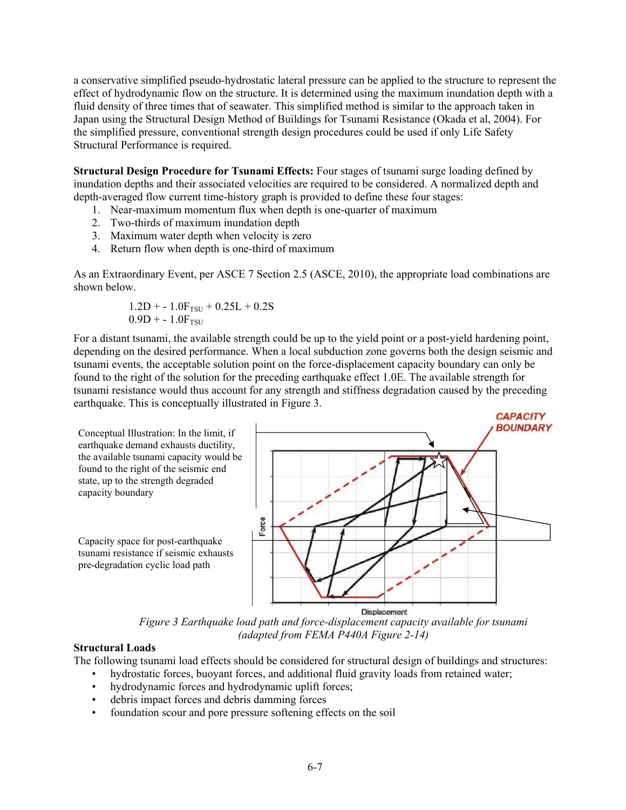a conservative simplified pseudo-hydrostatic lateral pressure can be applied to the structure to represent the effect of hydrodynamic flow on the structure. It is determined using the maximum inundation depth with a fluid density of three times that of seawater. This simplified method is similar to the approach taken in Japan using the Structural Design Method of Buildings for Tsunami Resistance (Okada et al, 2004). For the simplified pressure, conventional strength design procedures could be used if only Life Safety Structural Performance is required.

**Structural Design Procedure for Tsunami Effects:** Four stages of tsunami surge loading defined by inundation depths and their associated velocities are required to be considered. A normalized depth and depth-averaged flow current time-history graph is provided to define these four stages:

- 1. Near-maximum momentum flux when depth is one-quarter of maximum
- 2. Two-thirds of maximum inundation depth
- 3. Maximum water depth when velocity is zero
- 4. Return flow when depth is one-third of maximum

As an Extraordinary Event, per ASCE 7 Section 2.5 (ASCE, 2010), the appropriate load combinations are shown below.

$$
\begin{array}{c} 1.2D + -1.0F_{TSU} + 0.25L + 0.2S \\ 0.9D + -1.0F_{TSU} \end{array}
$$

For a distant tsunami, the available strength could be up to the yield point or a post-yield hardening point, depending on the desired performance. When a local subduction zone governs both the design seismic and tsunami events, the acceptable solution point on the force-displacement capacity boundary can only be found to the right of the solution for the preceding earthquake effect 1.0E. The available strength for tsunami resistance would thus account for any strength and stiffness degradation caused by the preceding earthquake. This is conceptually illustrated in Figure 3.



*Figure 3 Earthquake load path and force-displacement capacity available for tsunami (adapted from FEMA P440A Figure 2-14)* 

# **Structural Loads**

The following tsunami load effects should be considered for structural design of buildings and structures:

- hydrostatic forces, buoyant forces, and additional fluid gravity loads from retained water;
- hydrodynamic forces and hydrodynamic uplift forces;
- debris impact forces and debris damming forces
- foundation scour and pore pressure softening effects on the soil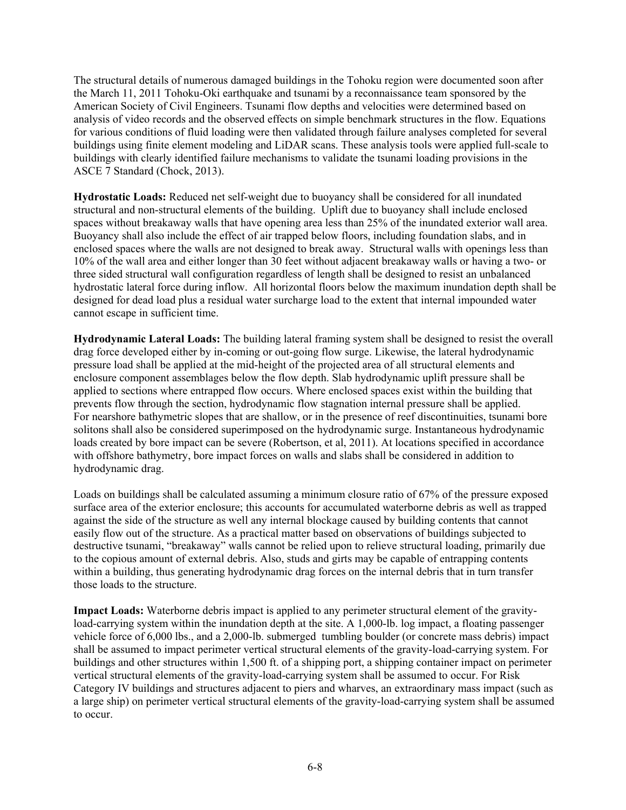The structural details of numerous damaged buildings in the Tohoku region were documented soon after the March 11, 2011 Tohoku-Oki earthquake and tsunami by a reconnaissance team sponsored by the American Society of Civil Engineers. Tsunami flow depths and velocities were determined based on analysis of video records and the observed effects on simple benchmark structures in the flow. Equations for various conditions of fluid loading were then validated through failure analyses completed for several buildings using finite element modeling and LiDAR scans. These analysis tools were applied full-scale to buildings with clearly identified failure mechanisms to validate the tsunami loading provisions in the ASCE 7 Standard (Chock, 2013).

**Hydrostatic Loads:** Reduced net self-weight due to buoyancy shall be considered for all inundated structural and non-structural elements of the building. Uplift due to buoyancy shall include enclosed spaces without breakaway walls that have opening area less than 25% of the inundated exterior wall area. Buoyancy shall also include the effect of air trapped below floors, including foundation slabs, and in enclosed spaces where the walls are not designed to break away.Structural walls with openings less than 10% of the wall area and either longer than 30 feet without adjacent breakaway walls or having a two- or three sided structural wall configuration regardless of length shall be designed to resist an unbalanced hydrostatic lateral force during inflow. All horizontal floors below the maximum inundation depth shall be designed for dead load plus a residual water surcharge load to the extent that internal impounded water cannot escape in sufficient time.

**Hydrodynamic Lateral Loads:** The building lateral framing system shall be designed to resist the overall drag force developed either by in-coming or out-going flow surge. Likewise, the lateral hydrodynamic pressure load shall be applied at the mid-height of the projected area of all structural elements and enclosure component assemblages below the flow depth. Slab hydrodynamic uplift pressure shall be applied to sections where entrapped flow occurs. Where enclosed spaces exist within the building that prevents flow through the section, hydrodynamic flow stagnation internal pressure shall be applied. For nearshore bathymetric slopes that are shallow, or in the presence of reef discontinuities, tsunami bore solitons shall also be considered superimposed on the hydrodynamic surge. Instantaneous hydrodynamic loads created by bore impact can be severe (Robertson, et al, 2011). At locations specified in accordance with offshore bathymetry, bore impact forces on walls and slabs shall be considered in addition to hydrodynamic drag.

Loads on buildings shall be calculated assuming a minimum closure ratio of 67% of the pressure exposed surface area of the exterior enclosure; this accounts for accumulated waterborne debris as well as trapped against the side of the structure as well any internal blockage caused by building contents that cannot easily flow out of the structure. As a practical matter based on observations of buildings subjected to destructive tsunami, "breakaway" walls cannot be relied upon to relieve structural loading, primarily due to the copious amount of external debris. Also, studs and girts may be capable of entrapping contents within a building, thus generating hydrodynamic drag forces on the internal debris that in turn transfer those loads to the structure.

**Impact Loads:** Waterborne debris impact is applied to any perimeter structural element of the gravityload-carrying system within the inundation depth at the site. A 1,000-lb. log impact, a floating passenger vehicle force of 6,000 lbs., and a 2,000-lb. submerged tumbling boulder (or concrete mass debris) impact shall be assumed to impact perimeter vertical structural elements of the gravity-load-carrying system. For buildings and other structures within 1,500 ft. of a shipping port, a shipping container impact on perimeter vertical structural elements of the gravity-load-carrying system shall be assumed to occur. For Risk Category IV buildings and structures adjacent to piers and wharves, an extraordinary mass impact (such as a large ship) on perimeter vertical structural elements of the gravity-load-carrying system shall be assumed to occur.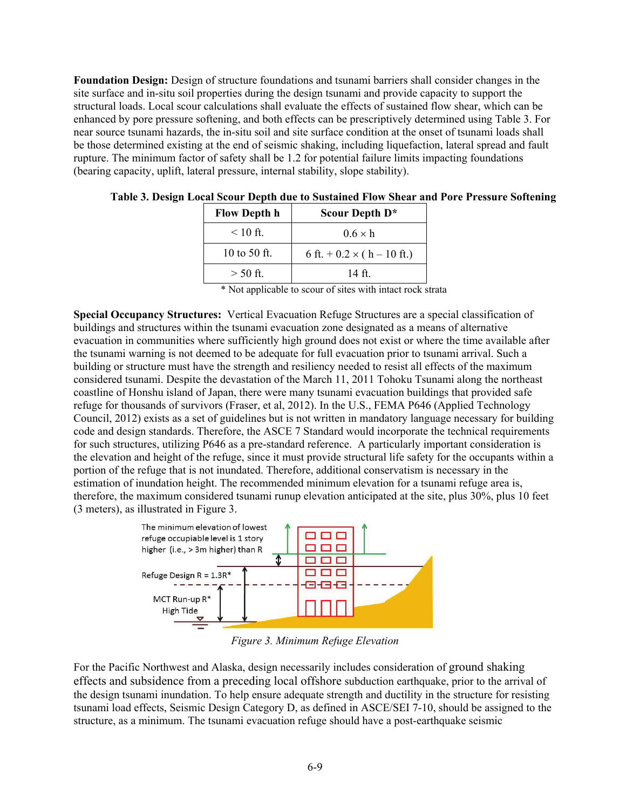**Foundation Design:** Design of structure foundations and tsunami barriers shall consider changes in the site surface and in-situ soil properties during the design tsunami and provide capacity to support the structural loads. Local scour calculations shall evaluate the effects of sustained flow shear, which can be enhanced by pore pressure softening, and both effects can be prescriptively determined using Table 3. For near source tsunami hazards, the in-situ soil and site surface condition at the onset of tsunami loads shall be those determined existing at the end of seismic shaking, including liquefaction, lateral spread and fault rupture. The minimum factor of safety shall be 1.2 for potential failure limits impacting foundations (bearing capacity, uplift, lateral pressure, internal stability, slope stability).

| <b>Flow Depth h</b> | Scour Depth D*                       |  |  |  |  |  |
|---------------------|--------------------------------------|--|--|--|--|--|
| $\leq 10$ ft.       | $0.6 \times h$                       |  |  |  |  |  |
| 10 to 50 ft.        | 6 ft. $+$ 0.2 $\times$ ( h – 10 ft.) |  |  |  |  |  |
| $>$ 50 ft.          | 14 ft                                |  |  |  |  |  |

|  |  |  |  |  | Table 3. Design Local Scour Depth due to Sustained Flow Shear and Pore Pressure Softening |
|--|--|--|--|--|-------------------------------------------------------------------------------------------|
|  |  |  |  |  |                                                                                           |

\* Not applicable to scour of sites with intact rock strata

**Special Occupancy Structures:** Vertical Evacuation Refuge Structures are a special classification of buildings and structures within the tsunami evacuation zone designated as a means of alternative evacuation in communities where sufficiently high ground does not exist or where the time available after the tsunami warning is not deemed to be adequate for full evacuation prior to tsunami arrival. Such a building or structure must have the strength and resiliency needed to resist all effects of the maximum considered tsunami. Despite the devastation of the March 11, 2011 Tohoku Tsunami along the northeast coastline of Honshu island of Japan, there were many tsunami evacuation buildings that provided safe refuge for thousands of survivors (Fraser, et al, 2012). In the U.S., FEMA P646 (Applied Technology Council, 2012) exists as a set of guidelines but is not written in mandatory language necessary for building code and design standards. Therefore, the ASCE 7 Standard would incorporate the technical requirements for such structures, utilizing P646 as a pre-standard reference. A particularly important consideration is the elevation and height of the refuge, since it must provide structural life safety for the occupants within a portion of the refuge that is not inundated. Therefore, additional conservatism is necessary in the estimation of inundation height. The recommended minimum elevation for a tsunami refuge area is, therefore, the maximum considered tsunami runup elevation anticipated at the site, plus 30%, plus 10 feet (3 meters), as illustrated in Figure 3.



*Figure 3. Minimum Refuge Elevation* 

For the Pacific Northwest and Alaska, design necessarily includes consideration of ground shaking effects and subsidence from a preceding local offshore subduction earthquake, prior to the arrival of the design tsunami inundation. To help ensure adequate strength and ductility in the structure for resisting tsunami load effects, Seismic Design Category D, as defined in ASCE/SEI 7-10, should be assigned to the structure, as a minimum. The tsunami evacuation refuge should have a post-earthquake seismic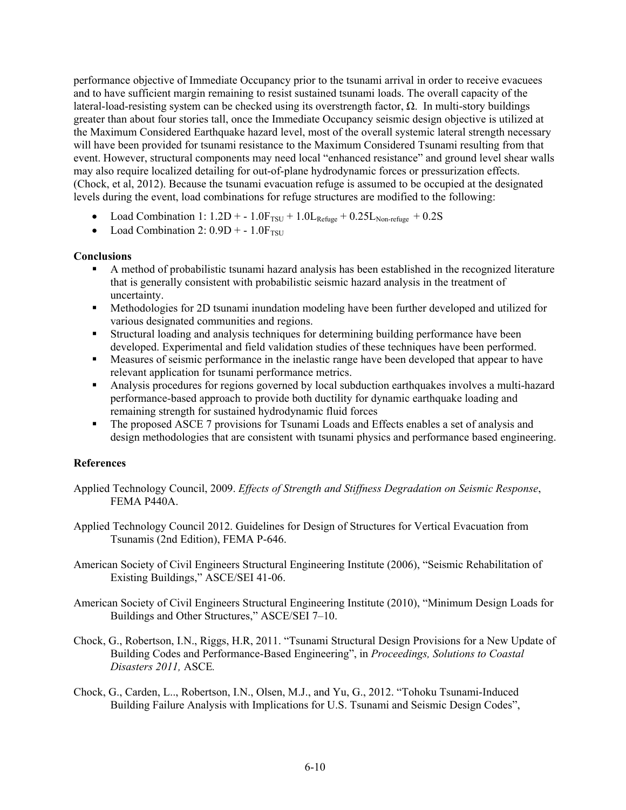performance objective of Immediate Occupancy prior to the tsunami arrival in order to receive evacuees and to have sufficient margin remaining to resist sustained tsunami loads. The overall capacity of the lateral-load-resisting system can be checked using its overstrength factor, Ω. In multi-story buildings greater than about four stories tall, once the Immediate Occupancy seismic design objective is utilized at the Maximum Considered Earthquake hazard level, most of the overall systemic lateral strength necessary will have been provided for tsunami resistance to the Maximum Considered Tsunami resulting from that event. However, structural components may need local "enhanced resistance" and ground level shear walls may also require localized detailing for out-of-plane hydrodynamic forces or pressurization effects. (Chock, et al, 2012). Because the tsunami evacuation refuge is assumed to be occupied at the designated levels during the event, load combinations for refuge structures are modified to the following:

- Load Combination 1:  $1.2D + -1.0F_{TSU} + 1.0L_{Refuge} + 0.25L_{Non-refuge} + 0.2S$
- Load Combination 2:  $0.9D + -1.0F_{TSU}$

## **Conclusions**

- A method of probabilistic tsunami hazard analysis has been established in the recognized literature that is generally consistent with probabilistic seismic hazard analysis in the treatment of uncertainty.
- **Methodologies for 2D tsunami inundation modeling have been further developed and utilized for** various designated communities and regions.
- Structural loading and analysis techniques for determining building performance have been developed. Experimental and field validation studies of these techniques have been performed.
- Measures of seismic performance in the inelastic range have been developed that appear to have relevant application for tsunami performance metrics.
- Analysis procedures for regions governed by local subduction earthquakes involves a multi-hazard performance-based approach to provide both ductility for dynamic earthquake loading and remaining strength for sustained hydrodynamic fluid forces
- The proposed ASCE 7 provisions for Tsunami Loads and Effects enables a set of analysis and design methodologies that are consistent with tsunami physics and performance based engineering.

## **References**

- Applied Technology Council, 2009. *Effects of Strength and Stiffness Degradation on Seismic Response*, FEMA P440A.
- Applied Technology Council 2012. Guidelines for Design of Structures for Vertical Evacuation from Tsunamis (2nd Edition), FEMA P-646.
- American Society of Civil Engineers Structural Engineering Institute (2006), "Seismic Rehabilitation of Existing Buildings," ASCE/SEI 41-06.
- American Society of Civil Engineers Structural Engineering Institute (2010), "Minimum Design Loads for Buildings and Other Structures," ASCE/SEI 7–10.
- Chock, G., Robertson, I.N., Riggs, H.R, 2011. "Tsunami Structural Design Provisions for a New Update of Building Codes and Performance-Based Engineering", in *Proceedings, Solutions to Coastal Disasters 2011,* ASCE*.*
- Chock, G., Carden, L.., Robertson, I.N., Olsen, M.J., and Yu, G., 2012. "Tohoku Tsunami-Induced Building Failure Analysis with Implications for U.S. Tsunami and Seismic Design Codes",